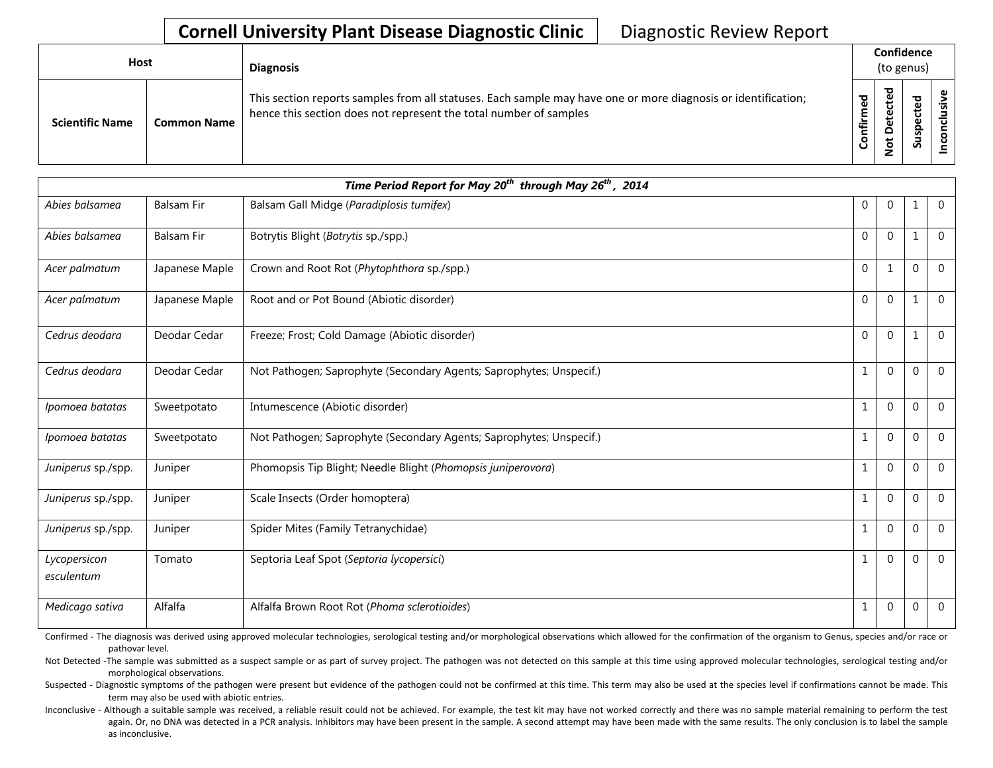## **Cornell University Plant Disease Diagnostic Clinic** | Diagnostic Review Report

| <b>Host</b>            |                    | <b>Diagnosis</b>                                                                                                                                                                   |          | Confidence<br>(to genus)      |                                  |        |
|------------------------|--------------------|------------------------------------------------------------------------------------------------------------------------------------------------------------------------------------|----------|-------------------------------|----------------------------------|--------|
| <b>Scientific Name</b> | <b>Common Name</b> | This section reports samples from all statuses. Each sample may have one or more diagnosis or identification;<br>hence this section does not represent the total number of samples | ਠ<br>tir | ᇃ<br>Φ<br>ዴ<br>پ<br>$\dot{S}$ | ᠊ᠣ<br>Φ<br>ω<br>으<br>൧<br>۔<br>S | š<br>ပ |

|                            | Time Period Report for May 20 <sup>th</sup> through May 26 <sup>th</sup> , 2014 |                                                                     |                |              |                |                |  |  |
|----------------------------|---------------------------------------------------------------------------------|---------------------------------------------------------------------|----------------|--------------|----------------|----------------|--|--|
| Abies balsamea             | <b>Balsam Fir</b>                                                               | Balsam Gall Midge (Paradiplosis tumifex)                            | $\mathbf 0$    | $\mathbf 0$  | 1              | $\mathbf 0$    |  |  |
| Abies balsamea             | <b>Balsam Fir</b>                                                               | Botrytis Blight (Botrytis sp./spp.)                                 | $\overline{0}$ | $\mathbf 0$  | 1              | $\mathbf 0$    |  |  |
| Acer palmatum              | Japanese Maple                                                                  | Crown and Root Rot (Phytophthora sp./spp.)                          | $\Omega$       | $\mathbf{1}$ | $\Omega$       | $\Omega$       |  |  |
| Acer palmatum              | Japanese Maple                                                                  | Root and or Pot Bound (Abiotic disorder)                            | $\mathbf{0}$   | $\mathbf 0$  | 1              | $\overline{0}$ |  |  |
| Cedrus deodara             | Deodar Cedar                                                                    | Freeze; Frost; Cold Damage (Abiotic disorder)                       | $\mathbf{0}$   | $\mathbf 0$  | 1              | $\mathbf{0}$   |  |  |
| Cedrus deodara             | Deodar Cedar                                                                    | Not Pathogen; Saprophyte (Secondary Agents; Saprophytes; Unspecif.) | $\mathbf{1}$   | $\Omega$     | $\Omega$       | $\mathbf{0}$   |  |  |
| Ipomoea batatas            | Sweetpotato                                                                     | Intumescence (Abiotic disorder)                                     | $\mathbf{1}$   | $\mathbf 0$  | $\Omega$       | $\Omega$       |  |  |
| Ipomoea batatas            | Sweetpotato                                                                     | Not Pathogen; Saprophyte (Secondary Agents; Saprophytes; Unspecif.) | 1              | $\Omega$     | 0              | $\Omega$       |  |  |
| Juniperus sp./spp.         | Juniper                                                                         | Phomopsis Tip Blight; Needle Blight (Phomopsis juniperovora)        | 1              | $\Omega$     | 0              | $\Omega$       |  |  |
| Juniperus sp./spp.         | Juniper                                                                         | Scale Insects (Order homoptera)                                     | 1              | $\Omega$     | $\mathbf 0$    | $\Omega$       |  |  |
| Juniperus sp./spp.         | Juniper                                                                         | Spider Mites (Family Tetranychidae)                                 | 1              | $\Omega$     | 0              | $\Omega$       |  |  |
| Lycopersicon<br>esculentum | Tomato                                                                          | Septoria Leaf Spot (Septoria lycopersici)                           | $\mathbf{1}$   | $\mathbf 0$  | $\mathbf 0$    | $\mathbf 0$    |  |  |
| Medicago sativa            | Alfalfa                                                                         | Alfalfa Brown Root Rot (Phoma sclerotioides)                        | $\mathbf{1}$   | $\mathbf 0$  | $\overline{0}$ | $\mathbf 0$    |  |  |

Confirmed - The diagnosis was derived using approved molecular technologies, serological testing and/or morphological observations which allowed for the confirmation of the organism to Genus, species and/or race or pathovar level.

Not Detected -The sample was submitted as a suspect sample or as part of survey project. The pathogen was not detected on this sample at this time using approved molecular technologies, serological testing and/or morphological observations.

Suspected - Diagnostic symptoms of the pathogen were present but evidence of the pathogen could not be confirmed at this time. This term may also be used at the species level if confirmations cannot be made. This term may also be used with abiotic entries.

Inconclusive - Although a suitable sample was received, a reliable result could not be achieved. For example, the test kit may have not worked correctly and there was no sample material remaining to perform the test again. Or, no DNA was detected in a PCR analysis. Inhibitors may have been present in the sample. A second attempt may have been made with the same results. The only conclusion is to label the sample as inconclusive.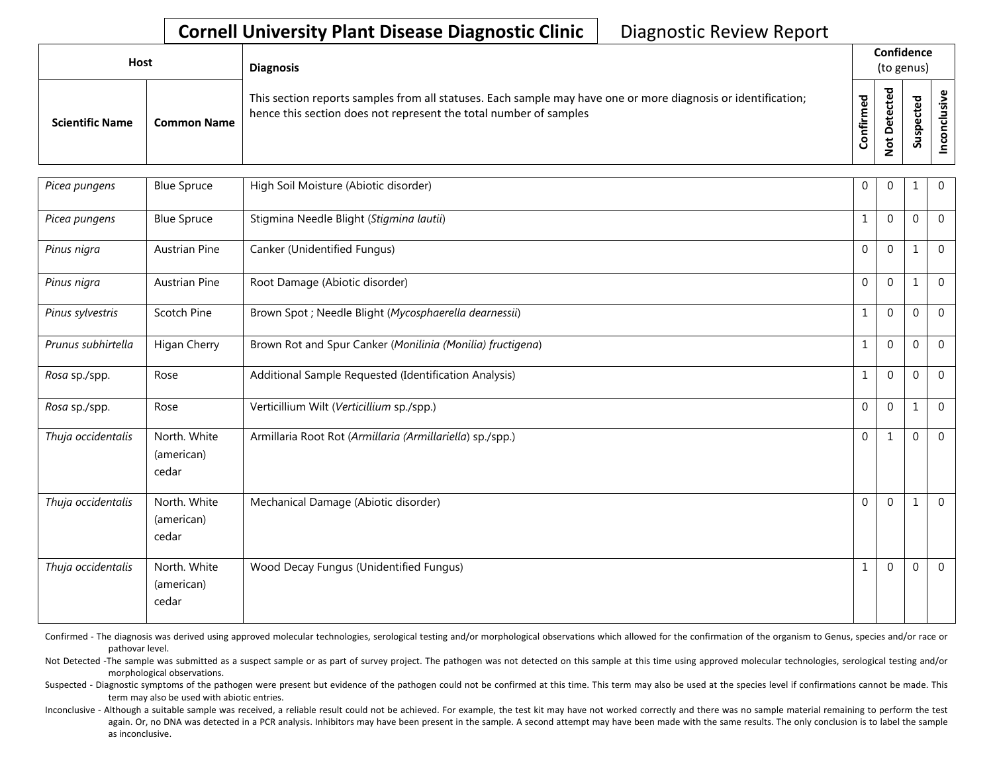## **Cornell University Plant Disease Diagnostic Clinic** | Diagnostic Review Report

| <b>Host</b>            |                    | <b>Diagnosis</b>                                                                                                                                                                   |               | Confidence<br>(to genus) |                        |   |
|------------------------|--------------------|------------------------------------------------------------------------------------------------------------------------------------------------------------------------------------|---------------|--------------------------|------------------------|---|
| <b>Scientific Name</b> | <b>Common Name</b> | This section reports samples from all statuses. Each sample may have one or more diagnosis or identification;<br>hence this section does not represent the total number of samples | ਠ<br>Φ<br>tir | ᇃ<br>ى                   | ъ<br>உ<br>௨<br>ັທ<br>S | s |

| Picea pungens      | <b>Blue Spruce</b>                  | High Soil Moisture (Abiotic disorder)                      | $\overline{0}$ | $\Omega$     | 1            | $\mathbf 0$    |
|--------------------|-------------------------------------|------------------------------------------------------------|----------------|--------------|--------------|----------------|
| Picea pungens      | <b>Blue Spruce</b>                  | Stigmina Needle Blight (Stigmina lautii)                   | $\mathbf{1}$   | $\Omega$     | 0            | $\overline{0}$ |
| Pinus nigra        | <b>Austrian Pine</b>                | Canker (Unidentified Fungus)                               | $\Omega$       | $\Omega$     | $\mathbf{1}$ | $\overline{0}$ |
| Pinus nigra        | <b>Austrian Pine</b>                | Root Damage (Abiotic disorder)                             | $\Omega$       | $\mathbf{0}$ | $\mathbf{1}$ | $\Omega$       |
| Pinus sylvestris   | Scotch Pine                         | Brown Spot ; Needle Blight (Mycosphaerella dearnessii)     | $\mathbf{1}$   | $\Omega$     | 0            | $\Omega$       |
| Prunus subhirtella | Higan Cherry                        | Brown Rot and Spur Canker (Monilinia (Monilia) fructigena) | $\mathbf{1}$   | $\Omega$     | 0            | $\mathbf 0$    |
| Rosa sp./spp.      | Rose                                | Additional Sample Requested (Identification Analysis)      | $\mathbf{1}$   | $\Omega$     | 0            | $\mathbf 0$    |
| Rosa sp./spp.      | Rose                                | Verticillium Wilt (Verticillium sp./spp.)                  | $\Omega$       | $\Omega$     | $\mathbf{1}$ | $\mathbf{0}$   |
| Thuja occidentalis | North. White<br>(american)<br>cedar | Armillaria Root Rot (Armillaria (Armillariella) sp./spp.)  | $\mathbf 0$    | 1            | 0            | $\overline{0}$ |
| Thuja occidentalis | North. White<br>(american)<br>cedar | Mechanical Damage (Abiotic disorder)                       | $\mathbf{0}$   | $\Omega$     | 1            | $\overline{0}$ |
| Thuja occidentalis | North. White<br>(american)<br>cedar | Wood Decay Fungus (Unidentified Fungus)                    | $\mathbf{1}$   | $\mathbf 0$  | 0            | $\overline{0}$ |

Confirmed - The diagnosis was derived using approved molecular technologies, serological testing and/or morphological observations which allowed for the confirmation of the organism to Genus, species and/or race or pathovar level.

Not Detected -The sample was submitted as a suspect sample or as part of survey project. The pathogen was not detected on this sample at this time using approved molecular technologies, serological testing and/or morphological observations.

Suspected - Diagnostic symptoms of the pathogen were present but evidence of the pathogen could not be confirmed at this time. This term may also be used at the species level if confirmations cannot be made. This term may also be used with abiotic entries.

Inconclusive - Although a suitable sample was received, a reliable result could not be achieved. For example, the test kit may have not worked correctly and there was no sample material remaining to perform the test again. Or, no DNA was detected in a PCR analysis. Inhibitors may have been present in the sample. A second attempt may have been made with the same results. The only conclusion is to label the sample as inconclusive.